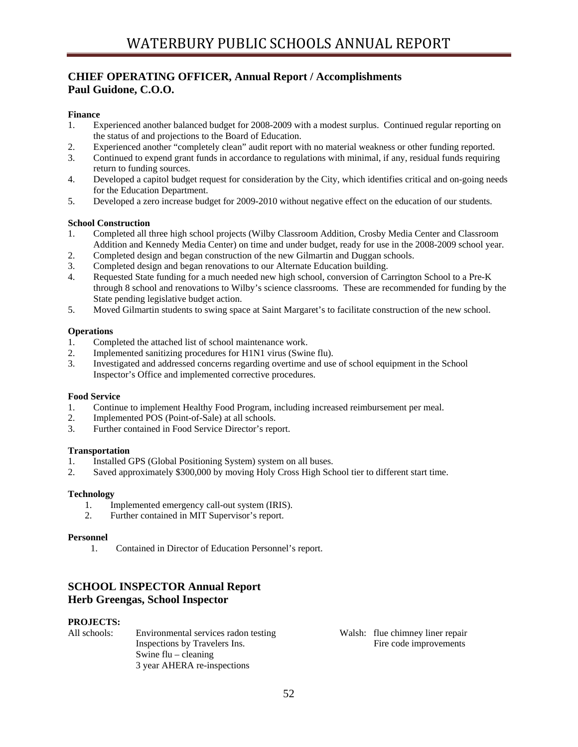# **CHIEF OPERATING OFFICER, Annual Report / Accomplishments Paul Guidone, C.O.O.**

# **Finance**

- 1. Experienced another balanced budget for 2008-2009 with a modest surplus. Continued regular reporting on the status of and projections to the Board of Education.
- 2. Experienced another "completely clean" audit report with no material weakness or other funding reported.
- 3. Continued to expend grant funds in accordance to regulations with minimal, if any, residual funds requiring return to funding sources.
- 4. Developed a capitol budget request for consideration by the City, which identifies critical and on-going needs for the Education Department.
- 5. Developed a zero increase budget for 2009-2010 without negative effect on the education of our students.

# **School Construction**

- 1. Completed all three high school projects (Wilby Classroom Addition, Crosby Media Center and Classroom Addition and Kennedy Media Center) on time and under budget, ready for use in the 2008-2009 school year.
- 2. Completed design and began construction of the new Gilmartin and Duggan schools.
- 3. Completed design and began renovations to our Alternate Education building.
- 4. Requested State funding for a much needed new high school, conversion of Carrington School to a Pre-K through 8 school and renovations to Wilby's science classrooms. These are recommended for funding by the State pending legislative budget action.
- 5. Moved Gilmartin students to swing space at Saint Margaret's to facilitate construction of the new school.

## **Operations**

- 1. Completed the attached list of school maintenance work.
- 2. Implemented sanitizing procedures for H1N1 virus (Swine flu).
- 3. Investigated and addressed concerns regarding overtime and use of school equipment in the School Inspector's Office and implemented corrective procedures.

## **Food Service**

- 1. Continue to implement Healthy Food Program, including increased reimbursement per meal.
- 2. Implemented POS (Point-of-Sale) at all schools.
- 3. Further contained in Food Service Director's report.

## **Transportation**

- 1. Installed GPS (Global Positioning System) system on all buses.
- 2. Saved approximately \$300,000 by moving Holy Cross High School tier to different start time.

## **Technology**

- 1. Implemented emergency call-out system (IRIS).
- 2. Further contained in MIT Supervisor's report.

## **Personnel**

1. Contained in Director of Education Personnel's report.

# **SCHOOL INSPECTOR Annual Report Herb Greengas, School Inspector**

## **PROJECTS:**

All schools: Environmental services radon testing Walsh: flue chimney liner repair Inspections by Travelers Ins. Fire code improvements Swine flu – cleaning 3 year AHERA re-inspections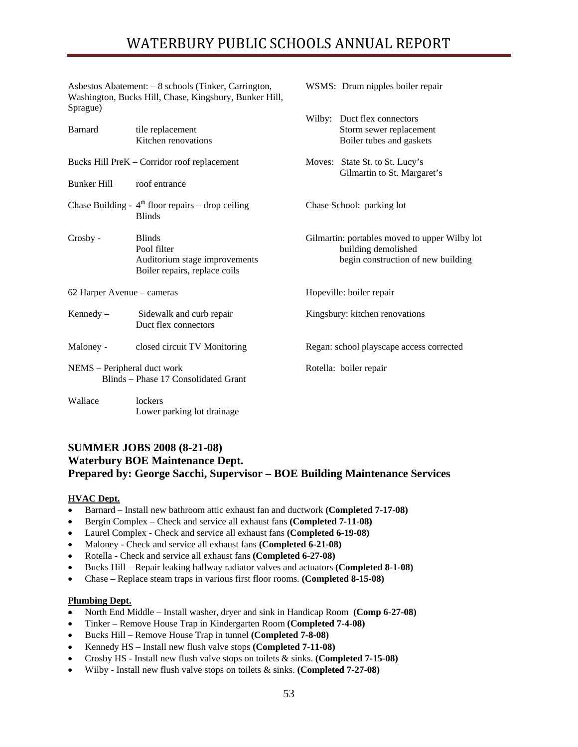Asbestos Abatement: – 8 schools (Tinker, Carrington, WSMS: Drum nipples boiler repair Washington, Bucks Hill, Chase, Kingsbury, Bunker Hill, Sprague)

 Wilby: Duct flex connectors Barnard tile replacement Storm sewer replacement Kitchen renovations Boiler tubes and gaskets Bucks Hill PreK – Corridor roof replacement Moves: State St. to St. Lucy's Gilmartin to St. Margaret's Bunker Hill roof entrance Chase Building -  $4<sup>th</sup>$  floor repairs – drop ceiling Chase School: parking lot Blinds Crosby - Blinds Gilmartin: portables moved to upper Wilby lot Pool filter building demolished Auditorium stage improvements begin construction of new building Boiler repairs, replace coils 62 Harper Avenue – cameras Hopeville: boiler repair Kennedy – Sidewalk and curb repair Kingsbury: kitchen renovations Duct flex connectors Maloney - closed circuit TV Monitoring Regan: school playscape access corrected NEMS – Peripheral duct work Rotella: boiler repair Blinds – Phase 17 Consolidated Grant Wallace lockers Lower parking lot drainage

# **SUMMER JOBS 2008 (8-21-08) Waterbury BOE Maintenance Dept. Prepared by: George Sacchi, Supervisor – BOE Building Maintenance Services**

# **HVAC Dept.**

- Barnard Install new bathroom attic exhaust fan and ductwork **(Completed 7-17-08)**
- Bergin Complex Check and service all exhaust fans **(Completed 7-11-08)**
- Laurel Complex Check and service all exhaust fans **(Completed 6-19-08)**
- Maloney Check and service all exhaust fans **(Completed 6-21-08)**
- Rotella Check and service all exhaust fans **(Completed 6-27-08)**
- Bucks Hill Repair leaking hallway radiator valves and actuators **(Completed 8-1-08)**
- Chase Replace steam traps in various first floor rooms. **(Completed 8-15-08)**

# **Plumbing Dept.**

- North End Middle Install washer, dryer and sink in Handicap Room **(Comp 6-27-08)**
- Tinker Remove House Trap in Kindergarten Room **(Completed 7-4-08)**
- Bucks Hill Remove House Trap in tunnel **(Completed 7-8-08)**
- Kennedy HS Install new flush valve stops **(Completed 7-11-08)**
- Crosby HS Install new flush valve stops on toilets & sinks. **(Completed 7-15-08)**
- Wilby Install new flush valve stops on toilets & sinks. **(Completed 7-27-08)**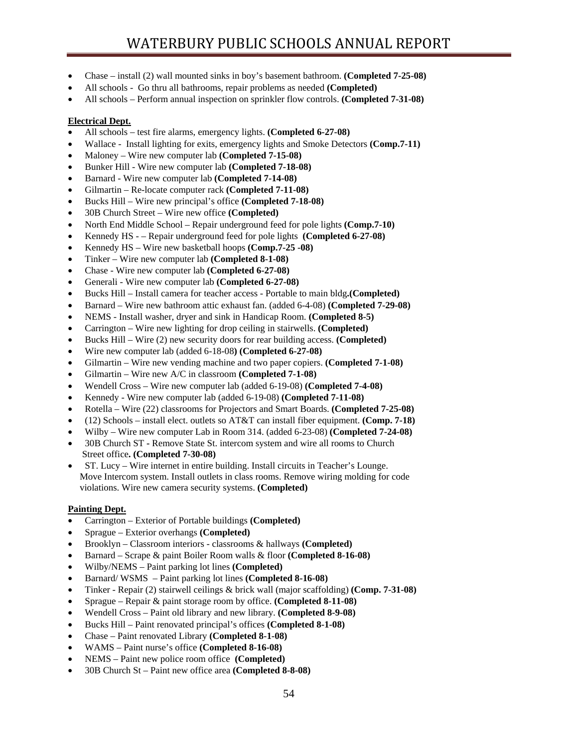- Chase install (2) wall mounted sinks in boy's basement bathroom. **(Completed 7-25-08)**
- All schools Go thru all bathrooms, repair problems as needed **(Completed)**
- All schools Perform annual inspection on sprinkler flow controls. **(Completed 7-31-08)**

# **Electrical Dept.**

- All schools test fire alarms, emergency lights. **(Completed 6-27-08)**
- Wallace Install lighting for exits, emergency lights and Smoke Detectors **(Comp.7-11)**
- Maloney Wire new computer lab **(Completed 7-15-08)**
- Bunker Hill Wire new computer lab **(Completed 7-18-08)**
- Barnard Wire new computer lab **(Completed 7-14-08)**
- Gilmartin Re-locate computer rack **(Completed 7-11-08)**
- Bucks Hill Wire new principal's office **(Completed 7-18-08)**
- 30B Church Street Wire new office **(Completed)**
- North End Middle School Repair underground feed for pole lights **(Comp.7-10)**
- Kennedy HS – Repair underground feed for pole lights **(Completed 6-27-08)**
- Kennedy HS Wire new basketball hoops **(Comp.7-25 -08)**
- Tinker Wire new computer lab **(Completed 8-1-08)**
- Chase Wire new computer lab **(Completed 6-27-08)**
- Generali Wire new computer lab **(Completed 6-27-08)**
- Bucks Hill Install camera for teacher access Portable to main bldg**.(Completed)**
- Barnard Wire new bathroom attic exhaust fan. (added 6-4-08) **(Completed 7-29-08)**
- NEMS Install washer, dryer and sink in Handicap Room. **(Completed 8-5)**
- Carrington Wire new lighting for drop ceiling in stairwells. **(Completed)**
- Bucks Hill Wire (2) new security doors for rear building access. **(Completed)**
- Wire new computer lab (added 6-18-08**) (Completed 6-27-08)**
- Gilmartin Wire new vending machine and two paper copiers. **(Completed 7-1-08)**
- Gilmartin Wire new A/C in classroom **(Completed 7-1-08)**
- Wendell Cross Wire new computer lab (added 6-19-08) **(Completed 7-4-08)**
- Kennedy Wire new computer lab (added 6-19-08) **(Completed 7-11-08)**
- Rotella Wire (22) classrooms for Projectors and Smart Boards. **(Completed 7-25-08)**
- (12) Schools install elect. outlets so AT&T can install fiber equipment. **(Comp. 7-18)**
- Wilby Wire new computer Lab in Room 314. (added 6-23-08) **(Completed 7-24-08)**
- 30B Church STRemove State St. intercom system and wire all rooms to Church Street office**. (Completed 7-30-08)**
- ST. Lucy Wire internet in entire building. Install circuits in Teacher's Lounge. Move Intercom system. Install outlets in class rooms. Remove wiring molding for code violations. Wire new camera security systems. **(Completed)**

## **Painting Dept.**

- Carrington Exterior of Portable buildings **(Completed)**
- Sprague Exterior overhangs **(Completed)**
- Brooklyn Classroom interiors classrooms & hallways **(Completed)**
- Barnard Scrape & paint Boiler Room walls & floor **(Completed 8-16-08)**
- Wilby/NEMS Paint parking lot lines **(Completed)**
- Barnard/ WSMS Paint parking lot lines **(Completed 8-16-08)**
- Tinker Repair (2) stairwell ceilings & brick wall (major scaffolding) **(Comp. 7-31-08)**
- Sprague Repair & paint storage room by office. **(Completed 8-11-08)**
- Wendell Cross Paint old library and new library. **(Completed 8-9-08)**
- Bucks Hill Paint renovated principal's offices **(Completed 8-1-08)**
- Chase Paint renovated Library **(Completed 8-1-08)**
- WAMS Paint nurse's office **(Completed 8-16-08)**
- NEMS Paint new police room office **(Completed)**
- 30B Church St Paint new office area **(Completed 8-8-08)**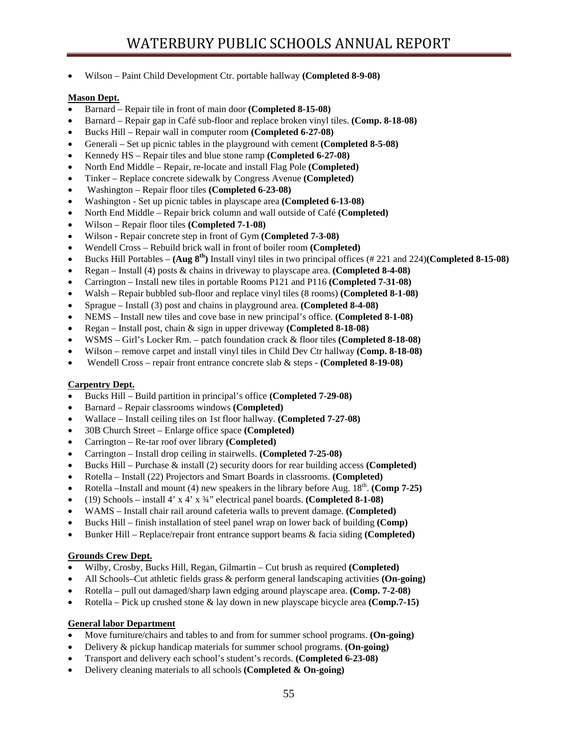• Wilson – Paint Child Development Ctr. portable hallway **(Completed 8-9-08)** 

# **Mason Dept.**

- Barnard Repair tile in front of main door **(Completed 8-15-08)**
- Barnard Repair gap in Café sub-floor and replace broken vinyl tiles. **(Comp. 8-18-08)**
- Bucks Hill Repair wall in computer room **(Completed 6-27-08)**
- Generali Set up picnic tables in the playground with cement **(Completed 8-5-08)**
- Kennedy HS Repair tiles and blue stone ramp **(Completed 6-27-08)**
- North End Middle Repair, re-locate and install Flag Pole **(Completed)**
- Tinker Replace concrete sidewalk by Congress Avenue **(Completed)**
- Washington Repair floor tiles **(Completed 6-23-08)**
- Washington Set up picnic tables in playscape area **(Completed 6-13-08)**
- North End Middle Repair brick column and wall outside of Café **(Completed)**
- Wilson Repair floor tiles **(Completed 7-1-08)**
- Wilson Repair concrete step in front of Gym **(Completed 7-3-08)**
- Wendell Cross Rebuild brick wall in front of boiler room **(Completed)**
- Bucks Hill Portables **(Aug 8th)** Install vinyl tiles in two principal offices (# 221 and 224)**(Completed 8-15-08)**
- Regan Install (4) posts & chains in driveway to playscape area. **(Completed 8-4-08)**
- Carrington Install new tiles in portable Rooms P121 and P116 **(Completed 7-31-08)**
- Walsh Repair bubbled sub-floor and replace vinyl tiles (8 rooms) **(Completed 8-1-08)**
- Sprague Install (3) post and chains in playground area. **(Completed 8-4-08)**
- NEMS Install new tiles and cove base in new principal's office. **(Completed 8-1-08)**
- Regan Install post, chain & sign in upper driveway **(Completed 8-18-08)**
- WSMS Girl's Locker Rm. patch foundation crack & floor tiles **(Completed 8-18-08)**
- Wilson remove carpet and install vinyl tiles in Child Dev Ctr hallway **(Comp. 8-18-08)**
- Wendell Cross repair front entrance concrete slab & steps **(Completed 8-19-08)**

# **Carpentry Dept.**

- Bucks Hill Build partition in principal's office **(Completed 7-29-08)**
- Barnard Repair classrooms windows **(Completed)**
- Wallace Install ceiling tiles on 1st floor hallway. **(Completed 7-27-08)**
- 30B Church Street Enlarge office space **(Completed)**
- Carrington Re-tar roof over library **(Completed)**
- Carrington Install drop ceiling in stairwells. **(Completed 7-25-08)**
- Bucks Hill Purchase & install (2) security doors for rear building access **(Completed)**
- Rotella Install (22) Projectors and Smart Boards in classrooms. **(Completed)**
- Rotella –Install and mount (4) new speakers in the library before Aug. 18<sup>th</sup>. **(Comp 7-25)**
- (19) Schools install 4' x 4' x ¾" electrical panel boards. **(Completed 8-1-08)**
- WAMS Install chair rail around cafeteria walls to prevent damage. **(Completed)**
- Bucks Hill finish installation of steel panel wrap on lower back of building **(Comp)**
- Bunker Hill Replace/repair front entrance support beams & facia siding **(Completed)**

# **Grounds Crew Dept.**

- Wilby, Crosby, Bucks Hill, Regan, Gilmartin Cut brush as required **(Completed)**
- All Schools–Cut athletic fields grass & perform general landscaping activities **(On-going)**
- Rotella pull out damaged/sharp lawn edging around playscape area. **(Comp. 7-2-08)**
- Rotella Pick up crushed stone & lay down in new playscape bicycle area **(Comp.7-15)**

## **General labor Department**

- Move furniture/chairs and tables to and from for summer school programs. **(On-going)**
- Delivery & pickup handicap materials for summer school programs. **(On-going)**
- Transport and delivery each school's student's records. **(Completed 6-23-08)**
- Delivery cleaning materials to all schools **(Completed & On-going)**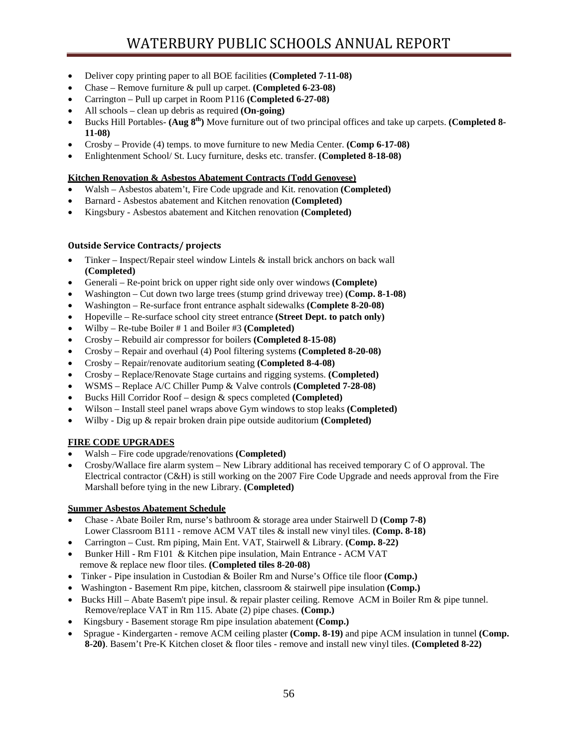- Deliver copy printing paper to all BOE facilities **(Completed 7-11-08)**
- Chase Remove furniture & pull up carpet. **(Completed 6-23-08)**
- Carrington Pull up carpet in Room P116 **(Completed 6-27-08)**
- All schools clean up debris as required **(On-going)**
- Bucks Hill Portables- **(Aug 8th)** Move furniture out of two principal offices and take up carpets. **(Completed 8- 11-08)**
- Crosby Provide (4) temps. to move furniture to new Media Center. **(Comp 6-17-08)**
- Enlightenment School/ St. Lucy furniture, desks etc. transfer. **(Completed 8-18-08)**

## **Kitchen Renovation & Asbestos Abatement Contracts (Todd Genovese)**

- Walsh Asbestos abatem't, Fire Code upgrade and Kit. renovation **(Completed)**
- Barnard Asbestos abatement and Kitchen renovation **(Completed)**
- Kingsbury Asbestos abatement and Kitchen renovation **(Completed)**

# **Outside Service Contracts/ projects**

- Tinker Inspect/Repair steel window Lintels & install brick anchors on back wall **(Completed)**
- Generali Re-point brick on upper right side only over windows **(Complete)**
- Washington Cut down two large trees (stump grind driveway tree) **(Comp. 8-1-08)**
- Washington Re-surface front entrance asphalt sidewalks **(Complete 8-20-08)**
- Hopeville Re-surface school city street entrance **(Street Dept. to patch only)**
- Wilby Re-tube Boiler # 1 and Boiler #3 **(Completed)**
- Crosby Rebuild air compressor for boilers **(Completed 8-15-08)**
- Crosby Repair and overhaul (4) Pool filtering systems **(Completed 8-20-08)**
- Crosby Repair/renovate auditorium seating **(Completed 8-4-08)**
- Crosby Replace/Renovate Stage curtains and rigging systems. **(Completed)**
- WSMS Replace A/C Chiller Pump & Valve controls **(Completed 7-28-08)**
- Bucks Hill Corridor Roof design & specs completed **(Completed)**
- Wilson Install steel panel wraps above Gym windows to stop leaks **(Completed)**
- Wilby Dig up & repair broken drain pipe outside auditorium **(Completed)**

# **FIRE CODE UPGRADES**

- Walsh Fire code upgrade/renovations **(Completed)**
- Crosby/Wallace fire alarm system New Library additional has received temporary C of O approval. The Electrical contractor (C&H) is still working on the 2007 Fire Code Upgrade and needs approval from the Fire Marshall before tying in the new Library. **(Completed)**

## **Summer Asbestos Abatement Schedule**

- Chase Abate Boiler Rm, nurse's bathroom & storage area under Stairwell D **(Comp 7-8)** Lower Classroom B111 - remove ACM VAT tiles & install new vinyl tiles. **(Comp. 8-18)**
- Carrington Cust. Rm piping, Main Ent. VAT, Stairwell & Library. **(Comp. 8-22)**
- Bunker Hill Rm F101 & Kitchen pipe insulation, Main Entrance ACM VAT remove & replace new floor tiles. **(Completed tiles 8-20-08)**
- Tinker Pipe insulation in Custodian & Boiler Rm and Nurse's Office tile floor **(Comp.)**
- Washington Basement Rm pipe, kitchen, classroom & stairwell pipe insulation **(Comp.)**
- Bucks Hill Abate Basem't pipe insul. & repair plaster ceiling. Remove ACM in Boiler Rm & pipe tunnel. Remove/replace VAT in Rm 115. Abate (2) pipe chases. **(Comp.)**
- Kingsbury Basement storage Rm pipe insulation abatement **(Comp.)**
- Sprague Kindergarten remove ACM ceiling plaster **(Comp. 8-19)** and pipe ACM insulation in tunnel **(Comp. 8-20)**. Basem't Pre-K Kitchen closet & floor tiles - remove and install new vinyl tiles. **(Completed 8-22)**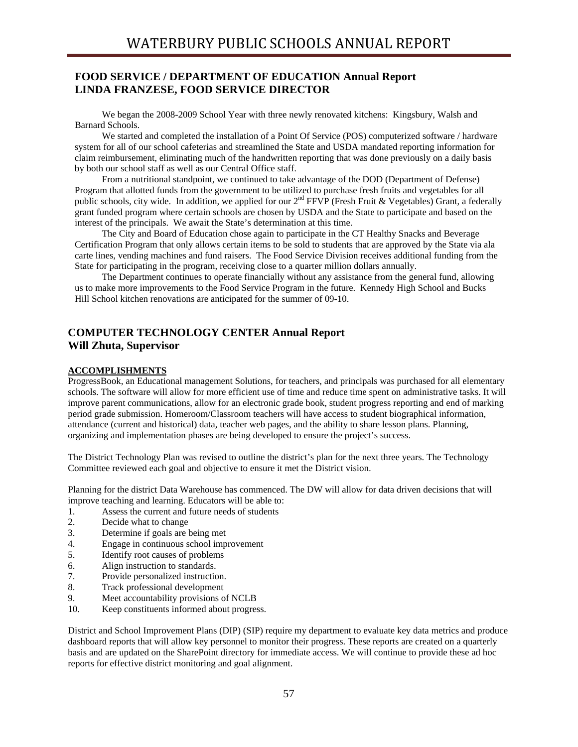# **FOOD SERVICE / DEPARTMENT OF EDUCATION Annual Report LINDA FRANZESE, FOOD SERVICE DIRECTOR**

We began the 2008-2009 School Year with three newly renovated kitchens: Kingsbury, Walsh and Barnard Schools.

We started and completed the installation of a Point Of Service (POS) computerized software / hardware system for all of our school cafeterias and streamlined the State and USDA mandated reporting information for claim reimbursement, eliminating much of the handwritten reporting that was done previously on a daily basis by both our school staff as well as our Central Office staff.

From a nutritional standpoint, we continued to take advantage of the DOD (Department of Defense) Program that allotted funds from the government to be utilized to purchase fresh fruits and vegetables for all public schools, city wide. In addition, we applied for our  $2<sup>nd</sup> FFVP$  (Fresh Fruit & Vegetables) Grant, a federally grant funded program where certain schools are chosen by USDA and the State to participate and based on the interest of the principals. We await the State's determination at this time.

The City and Board of Education chose again to participate in the CT Healthy Snacks and Beverage Certification Program that only allows certain items to be sold to students that are approved by the State via ala carte lines, vending machines and fund raisers. The Food Service Division receives additional funding from the State for participating in the program, receiving close to a quarter million dollars annually.

The Department continues to operate financially without any assistance from the general fund, allowing us to make more improvements to the Food Service Program in the future. Kennedy High School and Bucks Hill School kitchen renovations are anticipated for the summer of 09-10.

# **COMPUTER TECHNOLOGY CENTER Annual Report Will Zhuta, Supervisor**

## **ACCOMPLISHMENTS**

ProgressBook, an Educational management Solutions, for teachers, and principals was purchased for all elementary schools. The software will allow for more efficient use of time and reduce time spent on administrative tasks. It will improve parent communications, allow for an electronic grade book, student progress reporting and end of marking period grade submission. Homeroom/Classroom teachers will have access to student biographical information, attendance (current and historical) data, teacher web pages, and the ability to share lesson plans. Planning, organizing and implementation phases are being developed to ensure the project's success.

The District Technology Plan was revised to outline the district's plan for the next three years. The Technology Committee reviewed each goal and objective to ensure it met the District vision.

Planning for the district Data Warehouse has commenced. The DW will allow for data driven decisions that will improve teaching and learning. Educators will be able to:

- 1. Assess the current and future needs of students
- 2. Decide what to change
- 3. Determine if goals are being met
- 4. Engage in continuous school improvement
- 5. Identify root causes of problems
- 6. Align instruction to standards.
- 7. Provide personalized instruction.
- 8. Track professional development
- 9. Meet accountability provisions of NCLB
- 10. Keep constituents informed about progress.

District and School Improvement Plans (DIP) (SIP) require my department to evaluate key data metrics and produce dashboard reports that will allow key personnel to monitor their progress. These reports are created on a quarterly basis and are updated on the SharePoint directory for immediate access. We will continue to provide these ad hoc reports for effective district monitoring and goal alignment.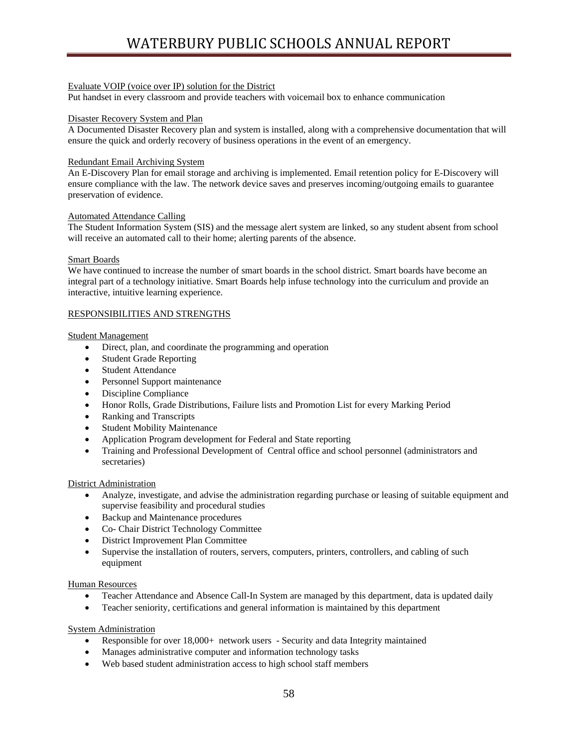# Evaluate VOIP (voice over IP) solution for the District

Put handset in every classroom and provide teachers with voicemail box to enhance communication

## Disaster Recovery System and Plan

A Documented Disaster Recovery plan and system is installed, along with a comprehensive documentation that will ensure the quick and orderly recovery of business operations in the event of an emergency.

## Redundant Email Archiving System

An E-Discovery Plan for email storage and archiving is implemented. Email retention policy for E-Discovery will ensure compliance with the law. The network device saves and preserves incoming/outgoing emails to guarantee preservation of evidence.

## Automated Attendance Calling

The Student Information System (SIS) and the message alert system are linked, so any student absent from school will receive an automated call to their home; alerting parents of the absence.

## Smart Boards

We have continued to increase the number of smart boards in the school district. Smart boards have become an integral part of a technology initiative. Smart Boards help infuse technology into the curriculum and provide an interactive, intuitive learning experience.

# RESPONSIBILITIES AND STRENGTHS

## Student Management

- Direct, plan, and coordinate the programming and operation
- Student Grade Reporting
- Student Attendance
- Personnel Support maintenance
- Discipline Compliance
- Honor Rolls, Grade Distributions, Failure lists and Promotion List for every Marking Period
- Ranking and Transcripts
- Student Mobility Maintenance
- Application Program development for Federal and State reporting
- Training and Professional Development of Central office and school personnel (administrators and secretaries)

#### District Administration

- Analyze, investigate, and advise the administration regarding purchase or leasing of suitable equipment and supervise feasibility and procedural studies
- Backup and Maintenance procedures
- Co- Chair District Technology Committee
- District Improvement Plan Committee
- Supervise the installation of routers, servers, computers, printers, controllers, and cabling of such equipment

## Human Resources

- Teacher Attendance and Absence Call-In System are managed by this department, data is updated daily
- Teacher seniority, certifications and general information is maintained by this department

## System Administration

- Responsible for over 18,000+ network users Security and data Integrity maintained
- Manages administrative computer and information technology tasks
- Web based student administration access to high school staff members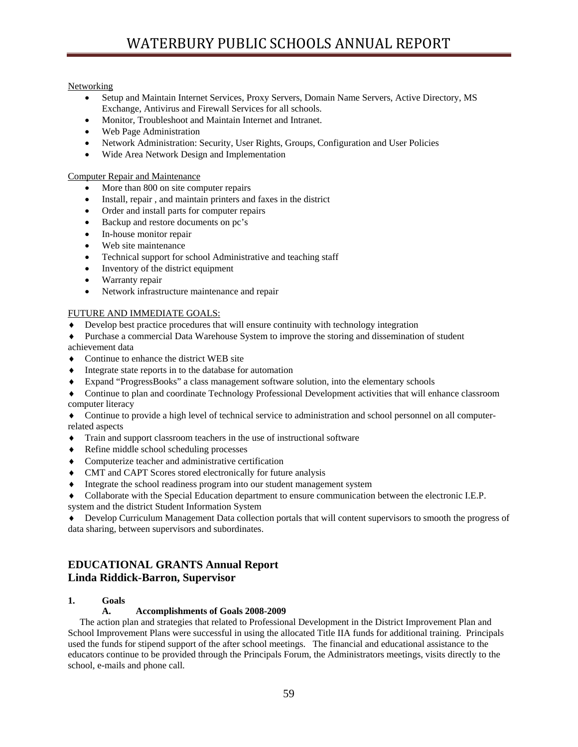# **Networking**

- Setup and Maintain Internet Services, Proxy Servers, Domain Name Servers, Active Directory, MS Exchange, Antivirus and Firewall Services for all schools.
- Monitor, Troubleshoot and Maintain Internet and Intranet.
- Web Page Administration
- Network Administration: Security, User Rights, Groups, Configuration and User Policies
- Wide Area Network Design and Implementation

## Computer Repair and Maintenance

- More than 800 on site computer repairs
- Install, repair , and maintain printers and faxes in the district
- Order and install parts for computer repairs
- Backup and restore documents on pc's
- In-house monitor repair
- Web site maintenance
- Technical support for school Administrative and teaching staff
- Inventory of the district equipment
- Warranty repair
- Network infrastructure maintenance and repair

# FUTURE AND IMMEDIATE GOALS:

- Develop best practice procedures that will ensure continuity with technology integration
- Purchase a commercial Data Warehouse System to improve the storing and dissemination of student

achievement data

- ♦ Continue to enhance the district WEB site
- ♦ Integrate state reports in to the database for automation
- ♦ Expand "ProgressBooks" a class management software solution, into the elementary schools
- ♦ Continue to plan and coordinate Technology Professional Development activities that will enhance classroom computer literacy

♦ Continue to provide a high level of technical service to administration and school personnel on all computerrelated aspects

- ♦ Train and support classroom teachers in the use of instructional software
- ♦ Refine middle school scheduling processes
- ♦ Computerize teacher and administrative certification
- ♦ CMT and CAPT Scores stored electronically for future analysis
- ♦ Integrate the school readiness program into our student management system

♦ Collaborate with the Special Education department to ensure communication between the electronic I.E.P. system and the district Student Information System

♦ Develop Curriculum Management Data collection portals that will content supervisors to smooth the progress of data sharing, between supervisors and subordinates.

# **EDUCATIONAL GRANTS Annual Report Linda Riddick-Barron, Supervisor**

## **1. Goals**

# **A. Accomplishments of Goals 2008-2009**

 The action plan and strategies that related to Professional Development in the District Improvement Plan and School Improvement Plans were successful in using the allocated Title IIA funds for additional training. Principals used the funds for stipend support of the after school meetings. The financial and educational assistance to the educators continue to be provided through the Principals Forum, the Administrators meetings, visits directly to the school, e-mails and phone call.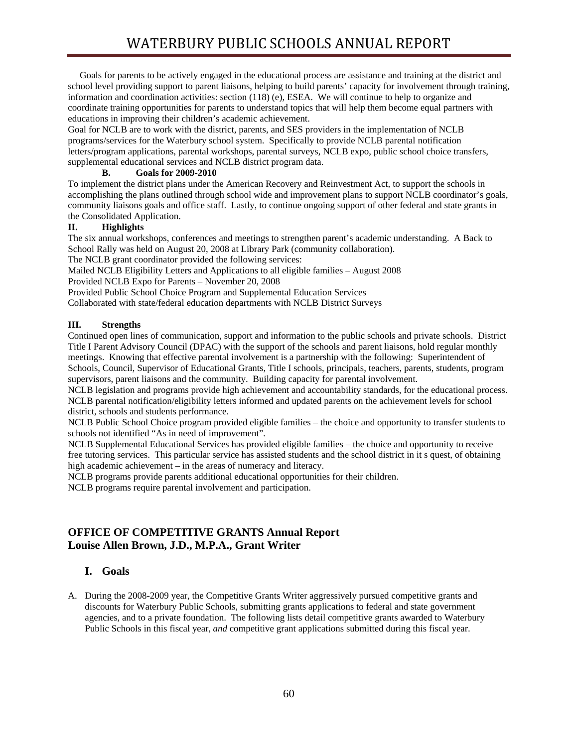Goals for parents to be actively engaged in the educational process are assistance and training at the district and school level providing support to parent liaisons, helping to build parents' capacity for involvement through training, information and coordination activities: section (118) (e), ESEA. We will continue to help to organize and coordinate training opportunities for parents to understand topics that will help them become equal partners with educations in improving their children's academic achievement.

Goal for NCLB are to work with the district, parents, and SES providers in the implementation of NCLB programs/services for the Waterbury school system. Specifically to provide NCLB parental notification letters/program applications, parental workshops, parental surveys, NCLB expo, public school choice transfers, supplemental educational services and NCLB district program data.

# **B. Goals for 2009-2010**

To implement the district plans under the American Recovery and Reinvestment Act, to support the schools in accomplishing the plans outlined through school wide and improvement plans to support NCLB coordinator's goals, community liaisons goals and office staff. Lastly, to continue ongoing support of other federal and state grants in the Consolidated Application.

# **II. Highlights**

The six annual workshops, conferences and meetings to strengthen parent's academic understanding. A Back to School Rally was held on August 20, 2008 at Library Park (community collaboration).

The NCLB grant coordinator provided the following services:

Mailed NCLB Eligibility Letters and Applications to all eligible families – August 2008

Provided NCLB Expo for Parents – November 20, 2008

Provided Public School Choice Program and Supplemental Education Services

Collaborated with state/federal education departments with NCLB District Surveys

# **III. Strengths**

Continued open lines of communication, support and information to the public schools and private schools. District Title I Parent Advisory Council (DPAC) with the support of the schools and parent liaisons, hold regular monthly meetings. Knowing that effective parental involvement is a partnership with the following: Superintendent of Schools, Council, Supervisor of Educational Grants, Title I schools, principals, teachers, parents, students, program supervisors, parent liaisons and the community. Building capacity for parental involvement.

NCLB legislation and programs provide high achievement and accountability standards, for the educational process. NCLB parental notification/eligibility letters informed and updated parents on the achievement levels for school district, schools and students performance.

NCLB Public School Choice program provided eligible families – the choice and opportunity to transfer students to schools not identified "As in need of improvement".

NCLB Supplemental Educational Services has provided eligible families – the choice and opportunity to receive free tutoring services. This particular service has assisted students and the school district in it s quest, of obtaining high academic achievement – in the areas of numeracy and literacy.

NCLB programs provide parents additional educational opportunities for their children.

NCLB programs require parental involvement and participation.

# **OFFICE OF COMPETITIVE GRANTS Annual Report Louise Allen Brown, J.D., M.P.A., Grant Writer**

# **I. Goals**

A. During the 2008-2009 year, the Competitive Grants Writer aggressively pursued competitive grants and discounts for Waterbury Public Schools, submitting grants applications to federal and state government agencies, and to a private foundation. The following lists detail competitive grants awarded to Waterbury Public Schools in this fiscal year, *and* competitive grant applications submitted during this fiscal year.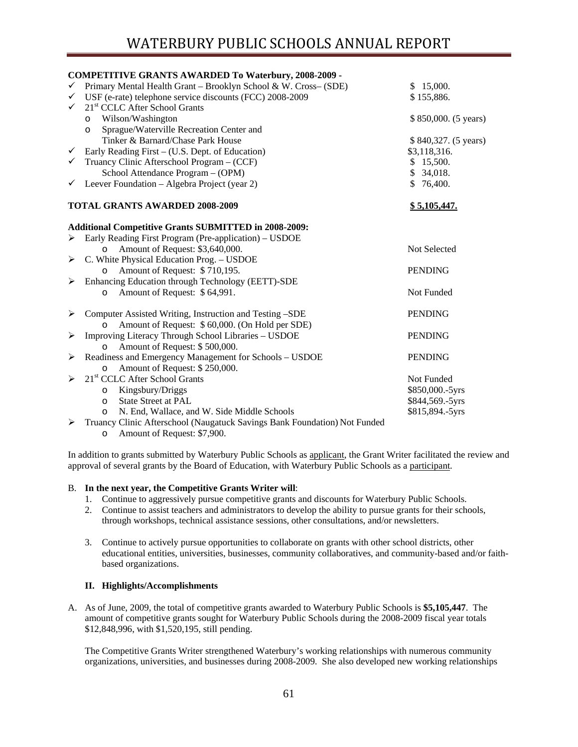|              | <b>COMPETITIVE GRANTS AWARDED To Waterbury, 2008-2009 -</b>                 |                      |
|--------------|-----------------------------------------------------------------------------|----------------------|
| $\checkmark$ | Primary Mental Health Grant - Brooklyn School & W. Cross- (SDE)             | \$15,000.            |
| $\checkmark$ | USF (e-rate) telephone service discounts (FCC) 2008-2009                    | \$155,886.           |
| ✓            | 21 <sup>st</sup> CCLC After School Grants                                   |                      |
|              | Wilson/Washington<br>$\circ$                                                | \$850,000. (5 years) |
|              | Sprague/Waterville Recreation Center and<br>$\circ$                         |                      |
|              | Tinker & Barnard/Chase Park House                                           | \$840,327. (5 years) |
| ✓            | Early Reading First – (U.S. Dept. of Education)                             | \$3,118,316.         |
| $\checkmark$ | Truancy Clinic Afterschool Program – (CCF)                                  | \$15,500.            |
|              | School Attendance Program - (OPM)                                           | \$34,018.            |
| ✓            | Leever Foundation - Algebra Project (year 2)                                | \$76,400.            |
|              | <b>TOTAL GRANTS AWARDED 2008-2009</b>                                       | \$5,105,447.         |
|              | <b>Additional Competitive Grants SUBMITTED in 2008-2009:</b>                |                      |
|              | Early Reading First Program (Pre-application) – USDOE                       |                      |
|              | Amount of Request: \$3,640,000.<br>$\circ$                                  | Not Selected         |
| ➤            | C. White Physical Education Prog. - USDOE                                   |                      |
|              | Amount of Request: \$710,195.<br>$\circ$                                    | <b>PENDING</b>       |
| ➤            | Enhancing Education through Technology (EETT)-SDE                           |                      |
|              | Amount of Request: \$64,991.<br>$\circ$                                     | Not Funded           |
| ➤            | Computer Assisted Writing, Instruction and Testing -SDE                     | <b>PENDING</b>       |
|              | Amount of Request: \$ 60,000. (On Hold per SDE)                             |                      |
| ➤            | Improving Literacy Through School Libraries - USDOE                         | <b>PENDING</b>       |
|              | Amount of Request: \$500,000.<br>$\circ$                                    |                      |
| ➤            | Readiness and Emergency Management for Schools - USDOE                      | <b>PENDING</b>       |
|              | Amount of Request: \$250,000.<br>$\circ$                                    |                      |
| ↘            | 21 <sup>st</sup> CCLC After School Grants                                   | Not Funded           |
|              | Kingsbury/Driggs<br>$\circ$                                                 | \$850,000 .- 5yrs    |
|              | <b>State Street at PAL</b><br>$\circ$                                       | \$844,569.-5yrs      |
|              | N. End, Wallace, and W. Side Middle Schools<br>$\circ$                      | \$815,894.-5yrs      |
|              | ► Truancy Clinic Afterschool (Naugatuck Savings Bank Foundation) Not Funded |                      |

o Amount of Request: \$7,900.

In addition to grants submitted by Waterbury Public Schools as applicant, the Grant Writer facilitated the review and approval of several grants by the Board of Education, with Waterbury Public Schools as a participant.

## B. **In the next year, the Competitive Grants Writer will**:

- 1. Continue to aggressively pursue competitive grants and discounts for Waterbury Public Schools.
- 2. Continue to assist teachers and administrators to develop the ability to pursue grants for their schools, through workshops, technical assistance sessions, other consultations, and/or newsletters.
- 3. Continue to actively pursue opportunities to collaborate on grants with other school districts, other educational entities, universities, businesses, community collaboratives, and community-based and/or faithbased organizations.

## **II. Highlights/Accomplishments**

A. As of June, 2009, the total of competitive grants awarded to Waterbury Public Schools is **\$5,105,447**. The amount of competitive grants sought for Waterbury Public Schools during the 2008-2009 fiscal year totals \$12,848,996, with \$1,520,195, still pending.

The Competitive Grants Writer strengthened Waterbury's working relationships with numerous community organizations, universities, and businesses during 2008-2009. She also developed new working relationships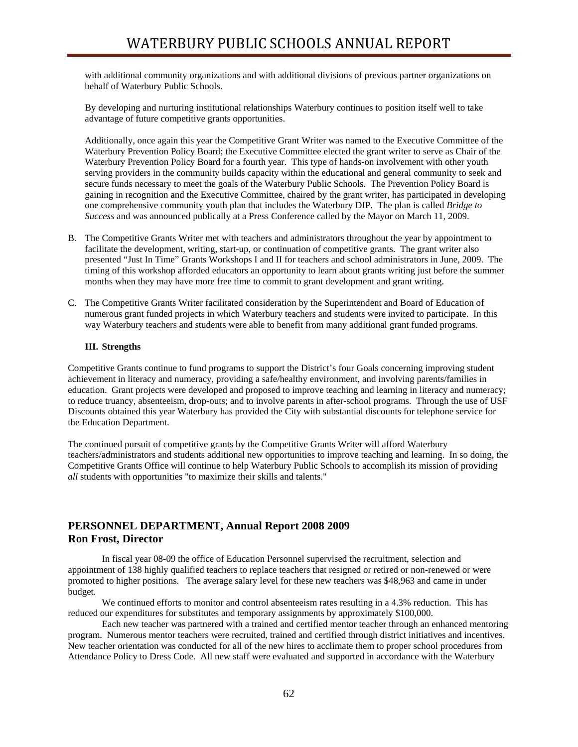with additional community organizations and with additional divisions of previous partner organizations on behalf of Waterbury Public Schools.

By developing and nurturing institutional relationships Waterbury continues to position itself well to take advantage of future competitive grants opportunities.

Additionally, once again this year the Competitive Grant Writer was named to the Executive Committee of the Waterbury Prevention Policy Board; the Executive Committee elected the grant writer to serve as Chair of the Waterbury Prevention Policy Board for a fourth year. This type of hands-on involvement with other youth serving providers in the community builds capacity within the educational and general community to seek and secure funds necessary to meet the goals of the Waterbury Public Schools. The Prevention Policy Board is gaining in recognition and the Executive Committee, chaired by the grant writer, has participated in developing one comprehensive community youth plan that includes the Waterbury DIP. The plan is called *Bridge to Success* and was announced publically at a Press Conference called by the Mayor on March 11, 2009.

- B. The Competitive Grants Writer met with teachers and administrators throughout the year by appointment to facilitate the development, writing, start-up, or continuation of competitive grants. The grant writer also presented "Just In Time" Grants Workshops I and II for teachers and school administrators in June, 2009. The timing of this workshop afforded educators an opportunity to learn about grants writing just before the summer months when they may have more free time to commit to grant development and grant writing.
- C. The Competitive Grants Writer facilitated consideration by the Superintendent and Board of Education of numerous grant funded projects in which Waterbury teachers and students were invited to participate. In this way Waterbury teachers and students were able to benefit from many additional grant funded programs.

#### **III. Strengths**

Competitive Grants continue to fund programs to support the District's four Goals concerning improving student achievement in literacy and numeracy, providing a safe/healthy environment, and involving parents/families in education. Grant projects were developed and proposed to improve teaching and learning in literacy and numeracy; to reduce truancy, absenteeism, drop-outs; and to involve parents in after-school programs. Through the use of USF Discounts obtained this year Waterbury has provided the City with substantial discounts for telephone service for the Education Department.

The continued pursuit of competitive grants by the Competitive Grants Writer will afford Waterbury teachers/administrators and students additional new opportunities to improve teaching and learning. In so doing, the Competitive Grants Office will continue to help Waterbury Public Schools to accomplish its mission of providing *all* students with opportunities "to maximize their skills and talents."

# **PERSONNEL DEPARTMENT, Annual Report 2008 2009 Ron Frost, Director**

In fiscal year 08-09 the office of Education Personnel supervised the recruitment, selection and appointment of 138 highly qualified teachers to replace teachers that resigned or retired or non-renewed or were promoted to higher positions. The average salary level for these new teachers was \$48,963 and came in under budget.

We continued efforts to monitor and control absenteeism rates resulting in a 4.3% reduction. This has reduced our expenditures for substitutes and temporary assignments by approximately \$100,000.

 Each new teacher was partnered with a trained and certified mentor teacher through an enhanced mentoring program. Numerous mentor teachers were recruited, trained and certified through district initiatives and incentives. New teacher orientation was conducted for all of the new hires to acclimate them to proper school procedures from Attendance Policy to Dress Code. All new staff were evaluated and supported in accordance with the Waterbury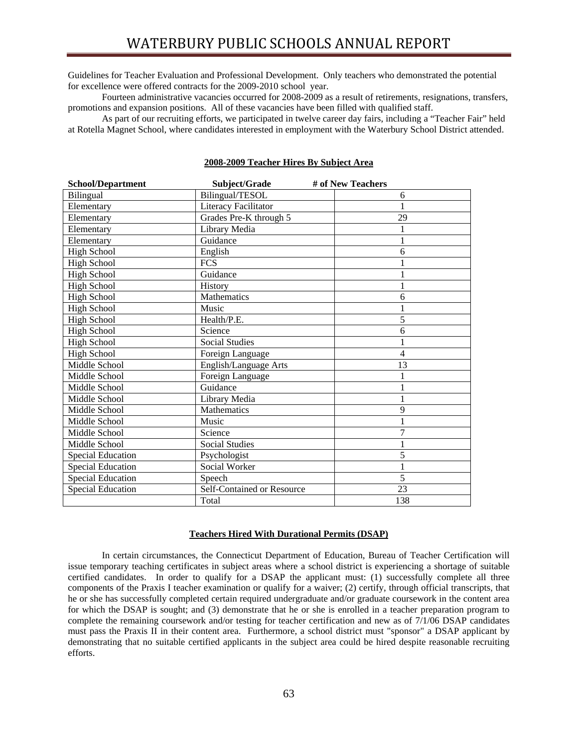Guidelines for Teacher Evaluation and Professional Development. Only teachers who demonstrated the potential for excellence were offered contracts for the 2009-2010 school year.

Fourteen administrative vacancies occurred for 2008-2009 as a result of retirements, resignations, transfers, promotions and expansion positions. All of these vacancies have been filled with qualified staff.

As part of our recruiting efforts, we participated in twelve career day fairs, including a "Teacher Fair" held at Rotella Magnet School, where candidates interested in employment with the Waterbury School District attended.

| <b>School/Department</b> | Subject/Grade              | # of New Teachers |
|--------------------------|----------------------------|-------------------|
| Bilingual                | Bilingual/TESOL            | 6                 |
| Elementary               | Literacy Facilitator       | 1                 |
| Elementary               | Grades Pre-K through 5     | 29                |
| Elementary               | Library Media              | 1                 |
| Elementary               | Guidance                   | 1                 |
| <b>High School</b>       | English                    | 6                 |
| <b>High School</b>       | <b>FCS</b>                 |                   |
| <b>High School</b>       | Guidance                   | 1                 |
| <b>High School</b>       | History                    | 1                 |
| <b>High School</b>       | Mathematics                | 6                 |
| <b>High School</b>       | Music                      | 1                 |
| <b>High School</b>       | Health/P.E.                | 5                 |
| <b>High School</b>       | Science                    | 6                 |
| <b>High School</b>       | <b>Social Studies</b>      |                   |
| <b>High School</b>       | Foreign Language           | 4                 |
| Middle School            | English/Language Arts      | 13                |
| Middle School            | Foreign Language           | 1                 |
| Middle School            | Guidance                   | 1                 |
| Middle School            | Library Media              | 1                 |
| Middle School            | Mathematics                | 9                 |
| Middle School            | Music                      | 1                 |
| Middle School            | Science                    | $\overline{7}$    |
| Middle School            | <b>Social Studies</b>      | 1                 |
| <b>Special Education</b> | Psychologist               | 5                 |
| <b>Special Education</b> | Social Worker              | 1                 |
| <b>Special Education</b> | Speech                     | 5                 |
| <b>Special Education</b> | Self-Contained or Resource | 23                |
|                          | Total                      | 138               |

## **2008-2009 Teacher Hires By Subject Area**

#### **Teachers Hired With Durational Permits (DSAP)**

 In certain circumstances, the Connecticut Department of Education, Bureau of Teacher Certification will issue temporary teaching certificates in subject areas where a school district is experiencing a shortage of suitable certified candidates. In order to qualify for a DSAP the applicant must: (1) successfully complete all three components of the Praxis I teacher examination or qualify for a waiver; (2) certify, through official transcripts, that he or she has successfully completed certain required undergraduate and/or graduate coursework in the content area for which the DSAP is sought; and (3) demonstrate that he or she is enrolled in a teacher preparation program to complete the remaining coursework and/or testing for teacher certification and new as of 7/1/06 DSAP candidates must pass the Praxis II in their content area. Furthermore, a school district must "sponsor" a DSAP applicant by demonstrating that no suitable certified applicants in the subject area could be hired despite reasonable recruiting efforts.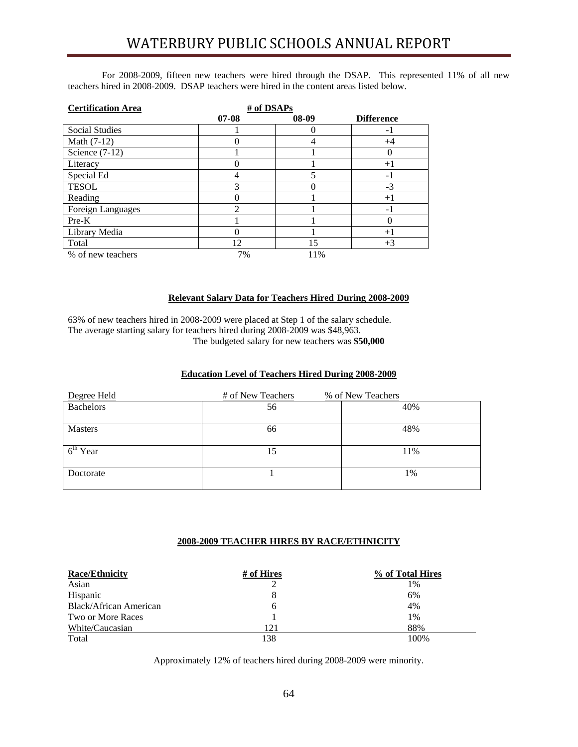For 2008-2009, fifteen new teachers were hired through the DSAP. This represented 11% of all new teachers hired in 2008-2009. DSAP teachers were hired in the content areas listed below.

| <b>Certification Area</b> | # of DSAPs |       |                          |
|---------------------------|------------|-------|--------------------------|
|                           | $07 - 08$  | 08-09 | <b>Difference</b>        |
| <b>Social Studies</b>     |            |       | $\overline{\phantom{0}}$ |
| Math (7-12)               |            | 4     | $+4$                     |
| Science $(7-12)$          |            |       |                          |
| Literacy                  |            |       | $+1$                     |
| Special Ed                | 4          | 5     | -1                       |
| <b>TESOL</b>              | 3          |       | $-3$                     |
| Reading                   |            |       | $+1$                     |
| Foreign Languages         | 2          |       | -1                       |
| $Pre-K$                   |            |       |                          |
| Library Media             |            |       | $+1$                     |
| Total                     | 12         | 15    | $+3$                     |
| % of new teachers         | 7%         | 11%   |                          |

## **Relevant Salary Data for Teachers Hired During 2008-2009**

63% of new teachers hired in 2008-2009 were placed at Step 1 of the salary schedule. The average starting salary for teachers hired during 2008-2009 was \$48,963. The budgeted salary for new teachers was **\$50,000**

# **Education Level of Teachers Hired During 2008-2009**

| Degree Held          | # of New Teachers | % of New Teachers |
|----------------------|-------------------|-------------------|
| <b>Bachelors</b>     | 56                | 40%               |
| <b>Masters</b>       | 66                | 48%               |
| 6 <sup>th</sup> Year | 15                | 11%               |
| Doctorate            |                   | 1%                |

## **2008-2009 TEACHER HIRES BY RACE/ETHNICITY**

| <b>Race/Ethnicity</b>  | # of Hires   | % of Total Hires |
|------------------------|--------------|------------------|
| Asian                  |              | 1%               |
| Hispanic               | 8            | 6%               |
| Black/African American | <sub>(</sub> | 4%               |
| Two or More Races      |              | 1%               |
| White/Caucasian        | 121          | 88%              |
| Total                  | 138          | 100%             |

Approximately 12% of teachers hired during 2008-2009 were minority.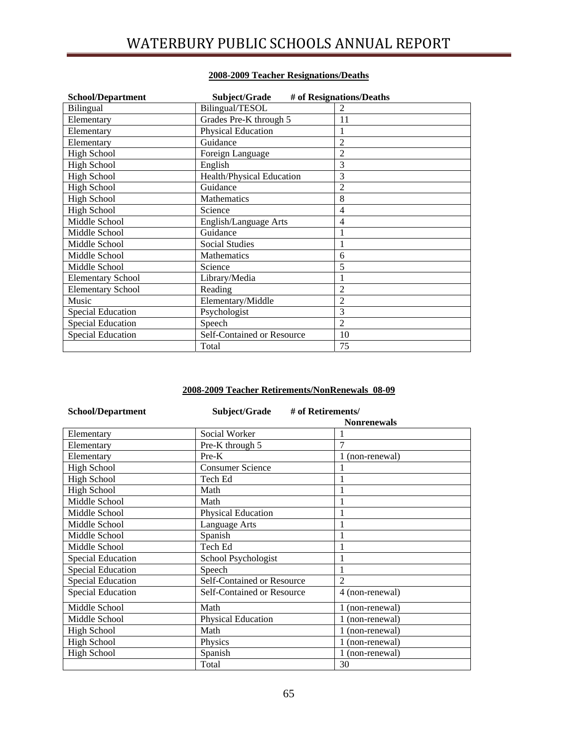# WATERBURY PUBLIC SCHOOLS ANNUAL REPORT

| <b>School/Department</b> | Subject/Grade              | # of Resignations/Deaths |
|--------------------------|----------------------------|--------------------------|
| Bilingual                | Bilingual/TESOL            |                          |
| Elementary               | Grades Pre-K through 5     | 11                       |
| Elementary               | Physical Education         |                          |
| Elementary               | Guidance                   | 2                        |
| <b>High School</b>       | Foreign Language           | $\overline{2}$           |
| <b>High School</b>       | English                    | 3                        |
| <b>High School</b>       | Health/Physical Education  | 3                        |
| <b>High School</b>       | Guidance                   | 2                        |
| <b>High School</b>       | Mathematics                | 8                        |
| <b>High School</b>       | Science                    | 4                        |
| Middle School            | English/Language Arts      | 4                        |
| Middle School            | Guidance                   |                          |
| Middle School            | <b>Social Studies</b>      |                          |
| Middle School            | Mathematics                | 6                        |
| Middle School            | Science                    | 5                        |
| <b>Elementary School</b> | Library/Media              |                          |
| <b>Elementary School</b> | Reading                    | $\overline{c}$           |
| Music                    | Elementary/Middle          | 2                        |
| <b>Special Education</b> | Psychologist               | 3                        |
| <b>Special Education</b> | Speech                     | $\overline{2}$           |
| <b>Special Education</b> | Self-Contained or Resource | 10                       |
|                          | Total                      | 75                       |

# **2008-2009 Teacher Resignations/Deaths**

# **2008-2009 Teacher Retirements/NonRenewals 08-09**

| <b>School/Department</b> | Subject/Grade              | # of Retirements/  |
|--------------------------|----------------------------|--------------------|
|                          |                            | <b>Nonrenewals</b> |
| Elementary               | Social Worker              |                    |
| Elementary               | Pre-K through 5            | 7                  |
| Elementary               | $Pre-K$                    | (non-renewal)      |
| <b>High School</b>       | <b>Consumer Science</b>    |                    |
| <b>High School</b>       | Tech Ed                    |                    |
| <b>High School</b>       | Math                       |                    |
| Middle School            | Math                       |                    |
| Middle School            | <b>Physical Education</b>  |                    |
| Middle School            | Language Arts              |                    |
| Middle School            | Spanish                    |                    |
| Middle School            | Tech Ed                    |                    |
| <b>Special Education</b> | School Psychologist        |                    |
| <b>Special Education</b> | Speech                     |                    |
| <b>Special Education</b> | Self-Contained or Resource | $\overline{2}$     |
| <b>Special Education</b> | Self-Contained or Resource | 4 (non-renewal)    |
| Middle School            | Math                       | 1 (non-renewal)    |
| Middle School            | <b>Physical Education</b>  | (non-renewal)      |
| <b>High School</b>       | Math                       | 1 (non-renewal)    |
| High School              | Physics                    | (non-renewal)<br>L |
| <b>High School</b>       | Spanish                    | (non-renewal)      |
|                          | Total                      | 30                 |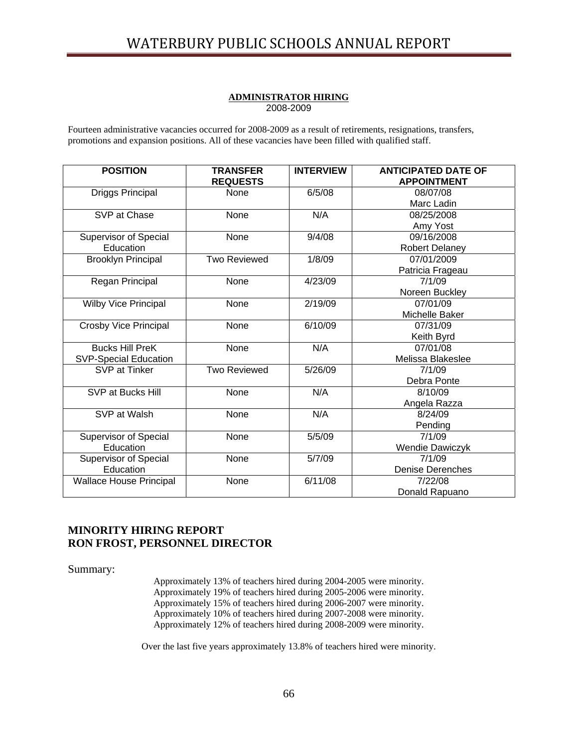#### **ADMINISTRATOR HIRING** 2008-2009

Fourteen administrative vacancies occurred for 2008-2009 as a result of retirements, resignations, transfers, promotions and expansion positions. All of these vacancies have been filled with qualified staff.

| <b>POSITION</b>                | <b>TRANSFER</b><br><b>REQUESTS</b> | <b>INTERVIEW</b> | <b>ANTICIPATED DATE OF</b><br><b>APPOINTMENT</b> |
|--------------------------------|------------------------------------|------------------|--------------------------------------------------|
| <b>Driggs Principal</b>        | None                               | 6/5/08           | 08/07/08                                         |
|                                |                                    |                  | Marc Ladin                                       |
| SVP at Chase                   | None                               | N/A              | 08/25/2008                                       |
|                                |                                    |                  | Amy Yost                                         |
| Supervisor of Special          | None                               | 9/4/08           | 09/16/2008                                       |
| Education                      |                                    |                  | <b>Robert Delaney</b>                            |
| <b>Brooklyn Principal</b>      | <b>Two Reviewed</b>                | 1/8/09           | 07/01/2009                                       |
|                                |                                    |                  | Patricia Frageau                                 |
| Regan Principal                | None                               | 4/23/09          | 7/1/09                                           |
|                                |                                    |                  | Noreen Buckley                                   |
| <b>Wilby Vice Principal</b>    | None                               | 2/19/09          | 07/01/09                                         |
|                                |                                    |                  | Michelle Baker                                   |
| Crosby Vice Principal          | None                               | 6/10/09          | 07/31/09                                         |
|                                |                                    |                  | Keith Byrd                                       |
| <b>Bucks Hill PreK</b>         | None                               | N/A              | 07/01/08                                         |
| <b>SVP-Special Education</b>   |                                    |                  | Melissa Blakeslee                                |
| SVP at Tinker                  | <b>Two Reviewed</b>                | 5/26/09          | 7/1/09                                           |
|                                |                                    |                  | Debra Ponte                                      |
| SVP at Bucks Hill              | None                               | N/A              | 8/10/09                                          |
|                                |                                    |                  | Angela Razza                                     |
| SVP at Walsh                   | None                               | N/A              | 8/24/09                                          |
|                                |                                    |                  | Pending                                          |
| <b>Supervisor of Special</b>   | None                               | 5/5/09           | 7/1/09                                           |
| Education                      |                                    |                  | Wendie Dawiczyk                                  |
| <b>Supervisor of Special</b>   | None                               | 5/7/09           | 7/1/09                                           |
| Education                      |                                    |                  | <b>Denise Derenches</b>                          |
| <b>Wallace House Principal</b> | None                               | 6/11/08          | 7/22/08                                          |
|                                |                                    |                  | Donald Rapuano                                   |

# **MINORITY HIRING REPORT RON FROST, PERSONNEL DIRECTOR**

Summary:

Approximately 13% of teachers hired during 2004-2005 were minority. Approximately 19% of teachers hired during 2005-2006 were minority. Approximately 15% of teachers hired during 2006-2007 were minority. Approximately 10% of teachers hired during 2007-2008 were minority. Approximately 12% of teachers hired during 2008-2009 were minority.

Over the last five years approximately 13.8% of teachers hired were minority.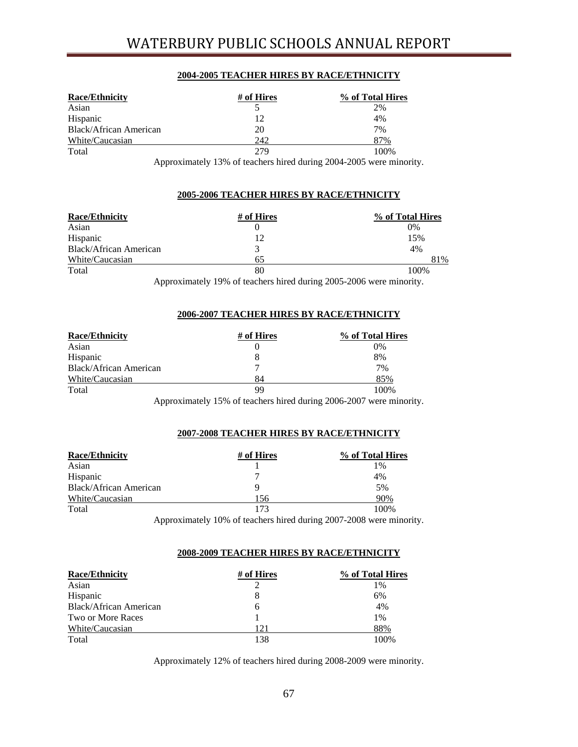# WATERBURY PUBLIC SCHOOLS ANNUAL REPORT

## **2004-2005 TEACHER HIRES BY RACE/ETHNICITY**

| <b>Race/Ethnicity</b>         | # of Hires | % of Total Hires |
|-------------------------------|------------|------------------|
| Asian                         |            | 2%               |
| Hispanic                      | 12         | 4%               |
| <b>Black/African American</b> | 20         | 7%               |
| White/Caucasian               | 242        | 87%              |
| Total                         | 279        | 100%             |

Approximately 13% of teachers hired during 2004-2005 were minority.

## **2005-2006 TEACHER HIRES BY RACE/ETHNICITY**

| <b>Race/Ethnicity</b>  | # of Hires | % of Total Hires |
|------------------------|------------|------------------|
| Asian                  |            | 0%               |
| Hispanic               | 12         | 15%              |
| Black/African American |            | 4%               |
| White/Caucasian        | 65         | 81%              |
| Total                  | 80         | 100%             |

Approximately 19% of teachers hired during 2005-2006 were minority.

## **2006-2007 TEACHER HIRES BY RACE/ETHNICITY**

| <b>Race/Ethnicity</b>         | # of Hires                                                       | % of Total Hires |
|-------------------------------|------------------------------------------------------------------|------------------|
| Asian                         |                                                                  | 0%               |
| Hispanic                      |                                                                  | 8%               |
| <b>Black/African American</b> |                                                                  | 7%               |
| White/Caucasian               | 84                                                               | 85%              |
| Total                         | 99                                                               | 100\%            |
|                               | Approximately 15% of teachers hired during 2006 2007 were minori |                  |

Approximately 15% of teachers hired during 2006-2007 were minority.

## **2007-2008 TEACHER HIRES BY RACE/ETHNICITY**

| <b>Race/Ethnicity</b>  | # of Hires | % of Total Hires |
|------------------------|------------|------------------|
| Asian                  |            | 1%               |
| Hispanic               |            | 4%               |
| Black/African American |            | 5%               |
| White/Caucasian        | 156        | 90%              |
| Total                  | 173        | 100\%            |

Approximately 10% of teachers hired during 2007-2008 were minority.

## **2008-2009 TEACHER HIRES BY RACE/ETHNICITY**

| <b>Race/Ethnicity</b>         | # of Hires | % of Total Hires |
|-------------------------------|------------|------------------|
| Asian                         |            | $1\%$            |
| Hispanic                      |            | 6%               |
| <b>Black/African American</b> | 6          | 4%               |
| Two or More Races             |            | $1\%$            |
| White/Caucasian               | 121        | 88%              |
| Total                         | 138        | 100%             |

Approximately 12% of teachers hired during 2008-2009 were minority.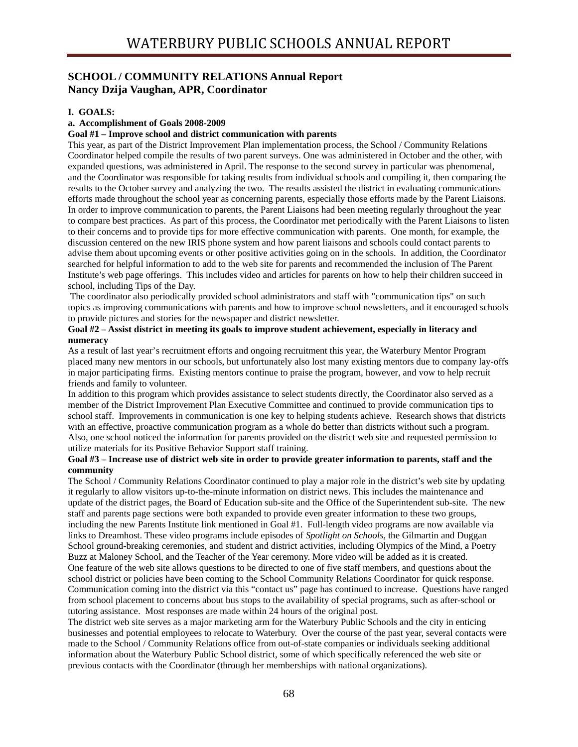# **SCHOOL / COMMUNITY RELATIONS Annual Report Nancy Dzija Vaughan, APR, Coordinator**

## **I. GOALS:**

## **a. Accomplishment of Goals 2008-2009**

## **Goal #1 – Improve school and district communication with parents**

This year, as part of the District Improvement Plan implementation process, the School / Community Relations Coordinator helped compile the results of two parent surveys. One was administered in October and the other, with expanded questions, was administered in April. The response to the second survey in particular was phenomenal, and the Coordinator was responsible for taking results from individual schools and compiling it, then comparing the results to the October survey and analyzing the two. The results assisted the district in evaluating communications efforts made throughout the school year as concerning parents, especially those efforts made by the Parent Liaisons. In order to improve communication to parents, the Parent Liaisons had been meeting regularly throughout the year to compare best practices. As part of this process, the Coordinator met periodically with the Parent Liaisons to listen to their concerns and to provide tips for more effective communication with parents. One month, for example, the discussion centered on the new IRIS phone system and how parent liaisons and schools could contact parents to advise them about upcoming events or other positive activities going on in the schools. In addition, the Coordinator searched for helpful information to add to the web site for parents and recommended the inclusion of The Parent Institute's web page offerings. This includes video and articles for parents on how to help their children succeed in school, including Tips of the Day.

 The coordinator also periodically provided school administrators and staff with "communication tips" on such topics as improving communications with parents and how to improve school newsletters, and it encouraged schools to provide pictures and stories for the newspaper and district newsletter.

## **Goal #2 – Assist district in meeting its goals to improve student achievement, especially in literacy and numeracy**

As a result of last year's recruitment efforts and ongoing recruitment this year, the Waterbury Mentor Program placed many new mentors in our schools, but unfortunately also lost many existing mentors due to company lay-offs in major participating firms. Existing mentors continue to praise the program, however, and vow to help recruit friends and family to volunteer.<br>In addition to this program which provides assistance to select students directly, the Coordinator also served as a

member of the District Improvement Plan Executive Committee and continued to provide communication tips to school staff. Improvements in communication is one key to helping students achieve. Research shows that districts with an effective, proactive communication program as a whole do better than districts without such a program. Also, one school noticed the information for parents provided on the district web site and requested permission to utilize materials for its Positive Behavior Support staff training.

## **Goal #3 – Increase use of district web site in order to provide greater information to parents, staff and the community**

The School / Community Relations Coordinator continued to play a major role in the district's web site by updating it regularly to allow visitors up-to-the-minute information on district news. This includes the maintenance and update of the district pages, the Board of Education sub-site and the Office of the Superintendent sub-site. The new staff and parents page sections were both expanded to provide even greater information to these two groups, including the new Parents Institute link mentioned in Goal #1. Full-length video programs are now available via links to Dreamhost. These video programs include episodes of *Spotlight on Schools*, the Gilmartin and Duggan School ground-breaking ceremonies, and student and district activities, including Olympics of the Mind, a Poetry Buzz at Maloney School, and the Teacher of the Year ceremony. More video will be added as it is created. One feature of the web site allows questions to be directed to one of five staff members, and questions about the school district or policies have been coming to the School Community Relations Coordinator for quick response. Communication coming into the district via this "contact us" page has continued to increase. Questions have ranged from school placement to concerns about bus stops to the availability of special programs, such as after-school or tutoring assistance. Most responses are made within 24 hours of the original post.

The district web site serves as a major marketing arm for the Waterbury Public Schools and the city in enticing businesses and potential employees to relocate to Waterbury. Over the course of the past year, several contacts were made to the School / Community Relations office from out-of-state companies or individuals seeking additional information about the Waterbury Public School district, some of which specifically referenced the web site or previous contacts with the Coordinator (through her memberships with national organizations).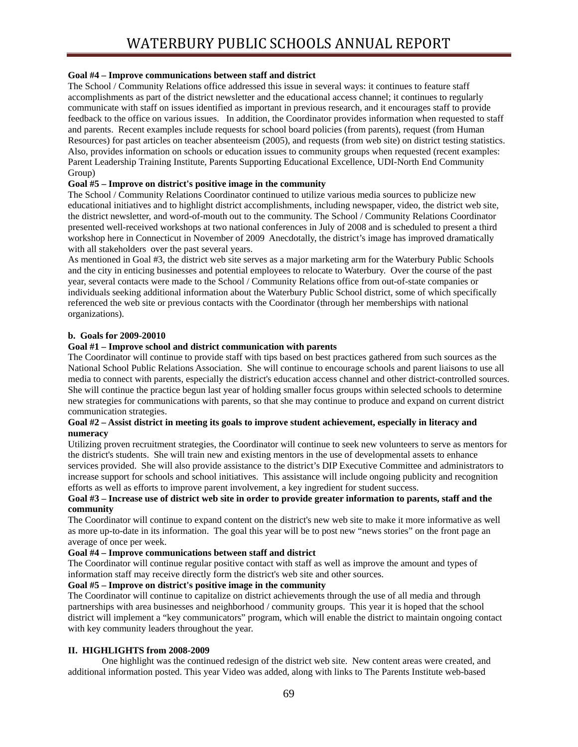# **Goal #4 – Improve communications between staff and district**

The School / Community Relations office addressed this issue in several ways: it continues to feature staff accomplishments as part of the district newsletter and the educational access channel; it continues to regularly communicate with staff on issues identified as important in previous research, and it encourages staff to provide feedback to the office on various issues. In addition, the Coordinator provides information when requested to staff and parents. Recent examples include requests for school board policies (from parents), request (from Human Resources) for past articles on teacher absenteeism (2005), and requests (from web site) on district testing statistics. Also, provides information on schools or education issues to community groups when requested (recent examples: Parent Leadership Training Institute, Parents Supporting Educational Excellence, UDI-North End Community Group)

## **Goal #5 – Improve on district's positive image in the community**

The School / Community Relations Coordinator continued to utilize various media sources to publicize new educational initiatives and to highlight district accomplishments, including newspaper, video, the district web site, the district newsletter, and word-of-mouth out to the community. The School / Community Relations Coordinator presented well-received workshops at two national conferences in July of 2008 and is scheduled to present a third workshop here in Connecticut in November of 2009 Anecdotally, the district's image has improved dramatically with all stakeholders over the past several years.

As mentioned in Goal #3, the district web site serves as a major marketing arm for the Waterbury Public Schools and the city in enticing businesses and potential employees to relocate to Waterbury. Over the course of the past year, several contacts were made to the School / Community Relations office from out-of-state companies or individuals seeking additional information about the Waterbury Public School district, some of which specifically referenced the web site or previous contacts with the Coordinator (through her memberships with national organizations).

## **b. Goals for 2009-20010**

## **Goal #1 – Improve school and district communication with parents**

The Coordinator will continue to provide staff with tips based on best practices gathered from such sources as the National School Public Relations Association. She will continue to encourage schools and parent liaisons to use all media to connect with parents, especially the district's education access channel and other district-controlled sources. She will continue the practice begun last year of holding smaller focus groups within selected schools to determine new strategies for communications with parents, so that she may continue to produce and expand on current district communication strategies.

## **Goal #2 – Assist district in meeting its goals to improve student achievement, especially in literacy and numeracy**

Utilizing proven recruitment strategies, the Coordinator will continue to seek new volunteers to serve as mentors for the district's students. She will train new and existing mentors in the use of developmental assets to enhance services provided. She will also provide assistance to the district's DIP Executive Committee and administrators to increase support for schools and school initiatives. This assistance will include ongoing publicity and recognition efforts as well as efforts to improve parent involvement, a key ingredient for student success.

## **Goal #3 – Increase use of district web site in order to provide greater information to parents, staff and the community**

The Coordinator will continue to expand content on the district's new web site to make it more informative as well as more up-to-date in its information. The goal this year will be to post new "news stories" on the front page an average of once per week.

## **Goal #4 – Improve communications between staff and district**

The Coordinator will continue regular positive contact with staff as well as improve the amount and types of information staff may receive directly form the district's web site and other sources.

## **Goal #5 – Improve on district's positive image in the community**

The Coordinator will continue to capitalize on district achievements through the use of all media and through partnerships with area businesses and neighborhood / community groups. This year it is hoped that the school district will implement a "key communicators" program, which will enable the district to maintain ongoing contact with key community leaders throughout the year.

## **II. HIGHLIGHTS from 2008-2009**

 One highlight was the continued redesign of the district web site. New content areas were created, and additional information posted. This year Video was added, along with links to The Parents Institute web-based